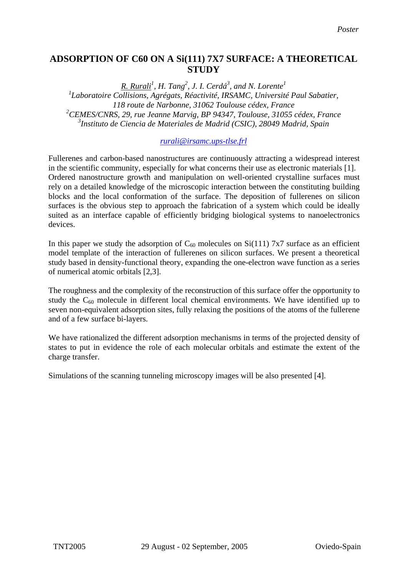## **ADSORPTION OF C60 ON A Si(111) 7X7 SURFACE: A THEORETICAL STUDY**

*R. Rurali<sup>1</sup> , H. Tang2 , J. I. Cerdá<sup>3</sup> , and N. Lorente<sup>1</sup>* <sup>1</sup>Laboratoire Collisions, Agrégats, Réactivité, IRSAMC, Université Paul Sabatier, *118 route de Narbonne, 31062 Toulouse cédex, France 2 CEMES/CNRS, 29, rue Jeanne Marvig, BP 94347, Toulouse, 31055 cédex, France 3 Instituto de Ciencia de Materiales de Madrid (CSIC), 28049 Madrid, Spain*

## *[rurali@irsamc.ups-tlse.frl](mailto:rurali@irsamc.ups-tlse.frl)*

Fullerenes and carbon-based nanostructures are continuously attracting a widespread interest in the scientific community, especially for what concerns their use as electronic materials [1]. Ordered nanostructure growth and manipulation on well-oriented crystalline surfaces must rely on a detailed knowledge of the microscopic interaction between the constituting building blocks and the local conformation of the surface. The deposition of fullerenes on silicon surfaces is the obvious step to approach the fabrication of a system which could be ideally suited as an interface capable of efficiently bridging biological systems to nanoelectronics devices.

In this paper we study the adsorption of  $C_{60}$  molecules on Si(111) 7x7 surface as an efficient model template of the interaction of fullerenes on silicon surfaces. We present a theoretical study based in density-functional theory, expanding the one-electron wave function as a series of numerical atomic orbitals [2,3].

The roughness and the complexity of the reconstruction of this surface offer the opportunity to study the  $C_{60}$  molecule in different local chemical environments. We have identified up to seven non-equivalent adsorption sites, fully relaxing the positions of the atoms of the fullerene and of a few surface bi-layers.

We have rationalized the different adsorption mechanisms in terms of the projected density of states to put in evidence the role of each molecular orbitals and estimate the extent of the charge transfer.

Simulations of the scanning tunneling microscopy images will be also presented [4].